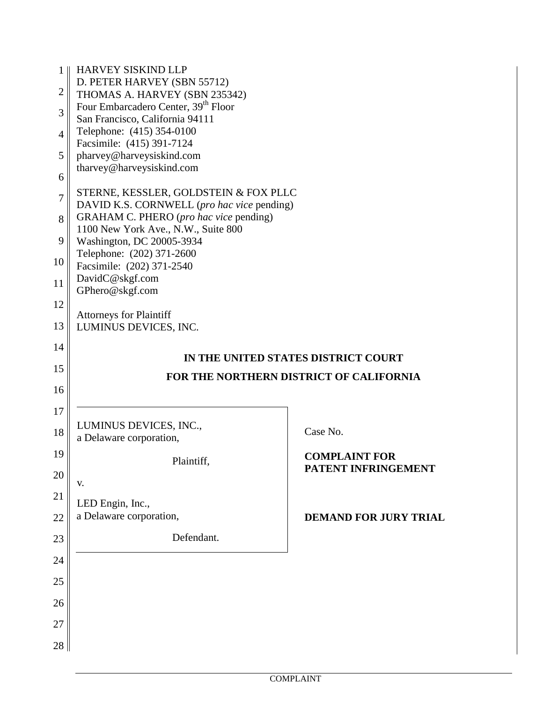| $\mathbf{1}$   | HARVEY SISKIND LLP                                                                  |                                         |
|----------------|-------------------------------------------------------------------------------------|-----------------------------------------|
|                | D. PETER HARVEY (SBN 55712)                                                         |                                         |
| $\overline{2}$ | THOMAS A. HARVEY (SBN 235342)                                                       |                                         |
| 3              | Four Embarcadero Center, 39 <sup>th</sup> Floor                                     |                                         |
|                | San Francisco, California 94111                                                     |                                         |
| $\overline{4}$ | Telephone: (415) 354-0100                                                           |                                         |
|                | Facsimile: (415) 391-7124                                                           |                                         |
| 5              | pharvey@harveysiskind.com                                                           |                                         |
| 6              | tharvey@harveysiskind.com                                                           |                                         |
| 7              | STERNE, KESSLER, GOLDSTEIN & FOX PLLC<br>DAVID K.S. CORNWELL (pro hac vice pending) |                                         |
|                | GRAHAM C. PHERO (pro hac vice pending)                                              |                                         |
| 8              | 1100 New York Ave., N.W., Suite 800                                                 |                                         |
| 9              | Washington, DC 20005-3934                                                           |                                         |
|                | Telephone: (202) 371-2600                                                           |                                         |
| 10             | Facsimile: (202) 371-2540                                                           |                                         |
|                | DavidC@skgf.com                                                                     |                                         |
| 11             | GPhero@skgf.com                                                                     |                                         |
| 12             |                                                                                     |                                         |
|                | <b>Attorneys for Plaintiff</b>                                                      |                                         |
| 13             | LUMINUS DEVICES, INC.                                                               |                                         |
|                |                                                                                     |                                         |
| 14             |                                                                                     | IN THE UNITED STATES DISTRICT COURT     |
| 15             |                                                                                     |                                         |
|                |                                                                                     | FOR THE NORTHERN DISTRICT OF CALIFORNIA |
| 16             |                                                                                     |                                         |
| 17             |                                                                                     |                                         |
|                |                                                                                     |                                         |
| 18             | LUMINUS DEVICES, INC.,                                                              | Case No.                                |
|                | a Delaware corporation,                                                             |                                         |
| 19             |                                                                                     | <b>COMPLAINT FOR</b>                    |
|                | Plaintiff.                                                                          | PATENT INFRINGEMENT                     |
| 20             | V.                                                                                  |                                         |
| 21             |                                                                                     |                                         |
|                | LED Engin, Inc.,                                                                    |                                         |
| 22             | a Delaware corporation,                                                             | <b>DEMAND FOR JURY TRIAL</b>            |
|                | Defendant.                                                                          |                                         |
| 23             |                                                                                     |                                         |
| 24             |                                                                                     |                                         |
|                |                                                                                     |                                         |
| 25             |                                                                                     |                                         |
|                |                                                                                     |                                         |
| 26             |                                                                                     |                                         |
| 27             |                                                                                     |                                         |
|                |                                                                                     |                                         |
| 28             |                                                                                     |                                         |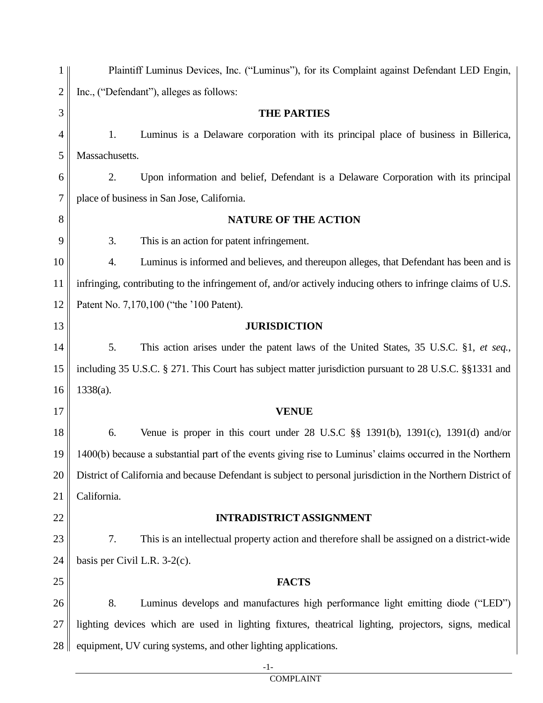| 1              | Plaintiff Luminus Devices, Inc. ("Luminus"), for its Complaint against Defendant LED Engin, |                                                                                                              |  |
|----------------|---------------------------------------------------------------------------------------------|--------------------------------------------------------------------------------------------------------------|--|
| $\overline{2}$ | Inc., ("Defendant"), alleges as follows:                                                    |                                                                                                              |  |
| 3              |                                                                                             | <b>THE PARTIES</b>                                                                                           |  |
| 4              | 1.                                                                                          | Luminus is a Delaware corporation with its principal place of business in Billerica,                         |  |
| 5              | Massachusetts.                                                                              |                                                                                                              |  |
| 6              | 2.                                                                                          | Upon information and belief, Defendant is a Delaware Corporation with its principal                          |  |
| 7              |                                                                                             | place of business in San Jose, California.                                                                   |  |
| 8              |                                                                                             | <b>NATURE OF THE ACTION</b>                                                                                  |  |
| 9              | 3.                                                                                          | This is an action for patent infringement.                                                                   |  |
| 10             | 4.                                                                                          | Luminus is informed and believes, and thereupon alleges, that Defendant has been and is                      |  |
| 11             |                                                                                             | infringing, contributing to the infringement of, and/or actively inducing others to infringe claims of U.S.  |  |
| 12             |                                                                                             | Patent No. 7,170,100 ("the '100 Patent).                                                                     |  |
| 13             |                                                                                             | <b>JURISDICTION</b>                                                                                          |  |
| 14             | 5.                                                                                          | This action arises under the patent laws of the United States, 35 U.S.C. §1, et seq.,                        |  |
| 15             |                                                                                             | including 35 U.S.C. § 271. This Court has subject matter jurisdiction pursuant to 28 U.S.C. §§1331 and       |  |
| 16             | $1338(a)$ .                                                                                 |                                                                                                              |  |
| 17             |                                                                                             | <b>VENUE</b>                                                                                                 |  |
| 18             | 6.                                                                                          | Venue is proper in this court under $28$ U.S.C $\S$ 1391(b), 1391(c), 1391(d) and/or                         |  |
| 19             |                                                                                             | 1400(b) because a substantial part of the events giving rise to Luminus' claims occurred in the Northern     |  |
| 20             |                                                                                             | District of California and because Defendant is subject to personal jurisdiction in the Northern District of |  |
| 21             | California.                                                                                 |                                                                                                              |  |
| 22             |                                                                                             | <b>INTRADISTRICT ASSIGNMENT</b>                                                                              |  |
| 23             | 7.                                                                                          | This is an intellectual property action and therefore shall be assigned on a district-wide                   |  |
| 24             | basis per Civil L.R. $3-2(c)$ .                                                             |                                                                                                              |  |
| 25             |                                                                                             | <b>FACTS</b>                                                                                                 |  |
| 26             | 8.                                                                                          | Luminus develops and manufactures high performance light emitting diode ("LED")                              |  |
| 27             |                                                                                             | lighting devices which are used in lighting fixtures, theatrical lighting, projectors, signs, medical        |  |
| 28             |                                                                                             | equipment, UV curing systems, and other lighting applications.                                               |  |
|                |                                                                                             | $-1-$                                                                                                        |  |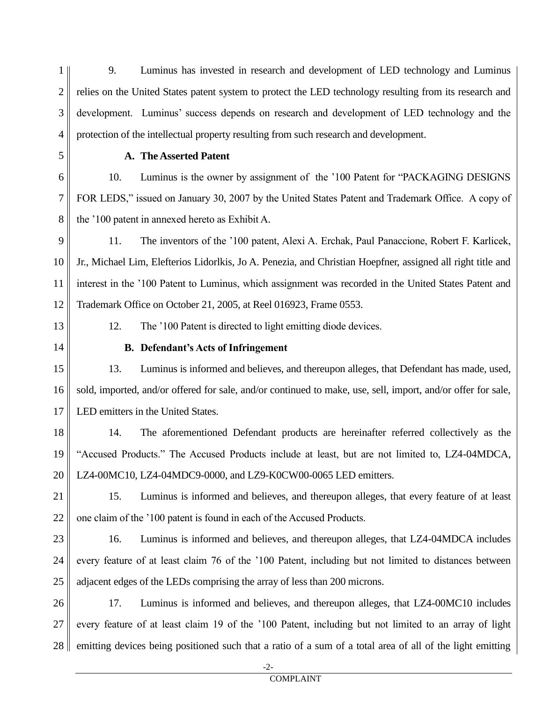1 2 3 4 9. Luminus has invested in research and development of LED technology and Luminus relies on the United States patent system to protect the LED technology resulting from its research and development. Luminus' success depends on research and development of LED technology and the protection of the intellectual property resulting from such research and development.

5

6

7

8

9

10

11

12

14

15

16

17

18

19

20

23

24

25

## **A. The Asserted Patent**

10. Luminus is the owner by assignment of the '100 Patent for "PACKAGING DESIGNS FOR LEDS," issued on January 30, 2007 by the United States Patent and Trademark Office. A copy of the '100 patent in annexed hereto as Exhibit A.

11. The inventors of the '100 patent, Alexi A. Erchak, Paul Panaccione, Robert F. Karlicek, Jr., Michael Lim, Elefterios Lidorlkis, Jo A. Penezia, and Christian Hoepfner, assigned all right title and interest in the '100 Patent to Luminus, which assignment was recorded in the United States Patent and Trademark Office on October 21, 2005, at Reel 016923, Frame 0553.

13

12. The '100 Patent is directed to light emitting diode devices.

**B. Defendant's Acts of Infringement** 

13. Luminus is informed and believes, and thereupon alleges, that Defendant has made, used, sold, imported, and/or offered for sale, and/or continued to make, use, sell, import, and/or offer for sale, LED emitters in the United States.

14. The aforementioned Defendant products are hereinafter referred collectively as the "Accused Products." The Accused Products include at least, but are not limited to, LZ4-04MDCA, LZ4-00MC10, LZ4-04MDC9-0000, and LZ9-K0CW00-0065 LED emitters.

21 22 15. Luminus is informed and believes, and thereupon alleges, that every feature of at least one claim of the '100 patent is found in each of the Accused Products.

16. Luminus is informed and believes, and thereupon alleges, that LZ4-04MDCA includes every feature of at least claim 76 of the '100 Patent, including but not limited to distances between adjacent edges of the LEDs comprising the array of less than 200 microns.

26 27 28 17. Luminus is informed and believes, and thereupon alleges, that LZ4-00MC10 includes every feature of at least claim 19 of the '100 Patent, including but not limited to an array of light emitting devices being positioned such that a ratio of a sum of a total area of all of the light emitting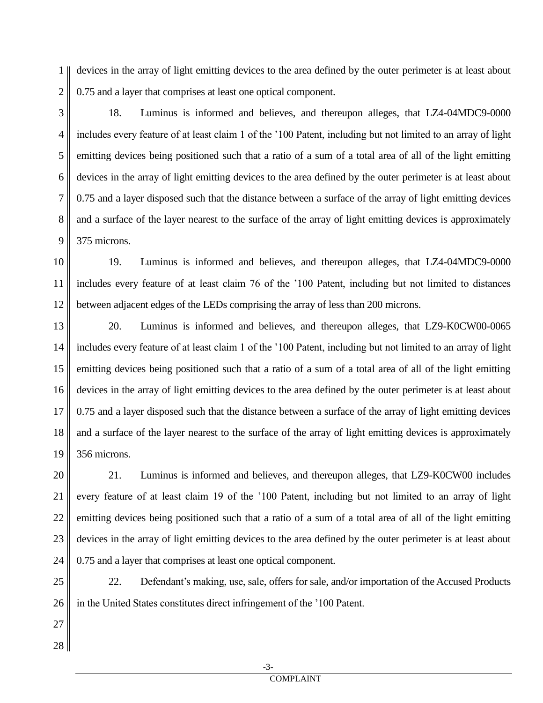1 2 devices in the array of light emitting devices to the area defined by the outer perimeter is at least about 0.75 and a layer that comprises at least one optical component.

18. Luminus is informed and believes, and thereupon alleges, that LZ4-04MDC9-0000 includes every feature of at least claim 1 of the '100 Patent, including but not limited to an array of light emitting devices being positioned such that a ratio of a sum of a total area of all of the light emitting devices in the array of light emitting devices to the area defined by the outer perimeter is at least about 0.75 and a layer disposed such that the distance between a surface of the array of light emitting devices and a surface of the layer nearest to the surface of the array of light emitting devices is approximately 375 microns.

10 11 12 19. Luminus is informed and believes, and thereupon alleges, that LZ4-04MDC9-0000 includes every feature of at least claim 76 of the '100 Patent, including but not limited to distances between adjacent edges of the LEDs comprising the array of less than 200 microns.

13 14 15 16 17 18 19 20. Luminus is informed and believes, and thereupon alleges, that LZ9-K0CW00-0065 includes every feature of at least claim 1 of the '100 Patent, including but not limited to an array of light emitting devices being positioned such that a ratio of a sum of a total area of all of the light emitting devices in the array of light emitting devices to the area defined by the outer perimeter is at least about 0.75 and a layer disposed such that the distance between a surface of the array of light emitting devices and a surface of the layer nearest to the surface of the array of light emitting devices is approximately 356 microns.

21. Luminus is informed and believes, and thereupon alleges, that LZ9-K0CW00 includes every feature of at least claim 19 of the '100 Patent, including but not limited to an array of light emitting devices being positioned such that a ratio of a sum of a total area of all of the light emitting devices in the array of light emitting devices to the area defined by the outer perimeter is at least about 0.75 and a layer that comprises at least one optical component.

25 26 22. Defendant's making, use, sale, offers for sale, and/or importation of the Accused Products in the United States constitutes direct infringement of the '100 Patent.

27 28

20

21

22

23

24

3

4

5

6

7

8

9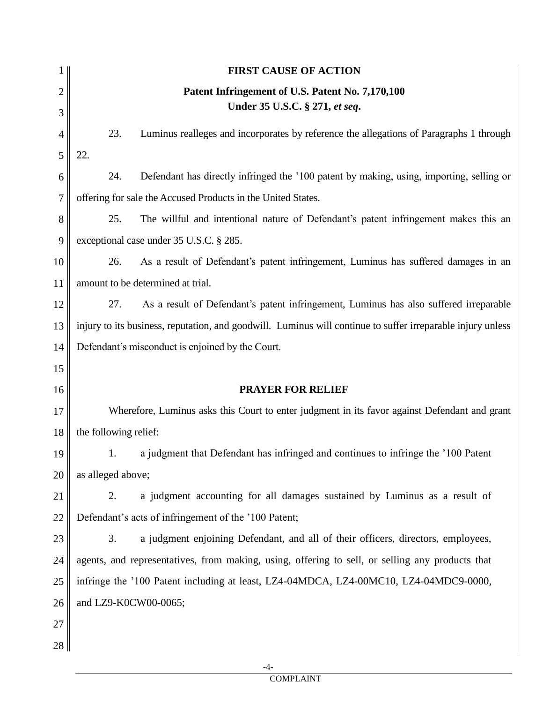|                     |                       | <b>FIRST CAUSE OF ACTION</b>                                                                                |
|---------------------|-----------------------|-------------------------------------------------------------------------------------------------------------|
| $\overline{2}$<br>3 |                       | Patent Infringement of U.S. Patent No. 7,170,100<br>Under 35 U.S.C. § 271, et seq.                          |
| 4                   | 23.                   | Luminus realleges and incorporates by reference the allegations of Paragraphs 1 through                     |
| 5                   | 22.                   |                                                                                                             |
| 6                   | 24.                   | Defendant has directly infringed the '100 patent by making, using, importing, selling or                    |
| 7                   |                       | offering for sale the Accused Products in the United States.                                                |
| 8                   | 25.                   | The willful and intentional nature of Defendant's patent infringement makes this an                         |
| 9                   |                       | exceptional case under 35 U.S.C. § 285.                                                                     |
| 10                  | 26.                   | As a result of Defendant's patent infringement, Luminus has suffered damages in an                          |
| 11                  |                       | amount to be determined at trial.                                                                           |
| 12                  | 27.                   | As a result of Defendant's patent infringement, Luminus has also suffered irreparable                       |
| 13                  |                       | injury to its business, reputation, and goodwill. Luminus will continue to suffer irreparable injury unless |
| 14                  |                       | Defendant's misconduct is enjoined by the Court.                                                            |
| 15                  |                       |                                                                                                             |
| 16                  |                       | <b>PRAYER FOR RELIEF</b>                                                                                    |
| 17                  |                       | Wherefore, Luminus asks this Court to enter judgment in its favor against Defendant and grant               |
| 18                  | the following relief: |                                                                                                             |
| 19                  |                       | a judgment that Defendant has infringed and continues to infringe the '100 Patent                           |
| 20                  | as alleged above;     |                                                                                                             |
| 21                  | 2.                    | a judgment accounting for all damages sustained by Luminus as a result of                                   |
| 22                  |                       | Defendant's acts of infringement of the '100 Patent;                                                        |
| 23                  | 3.                    | a judgment enjoining Defendant, and all of their officers, directors, employees,                            |
| 24                  |                       | agents, and representatives, from making, using, offering to sell, or selling any products that             |
| 25                  |                       | infringe the '100 Patent including at least, LZ4-04MDCA, LZ4-00MC10, LZ4-04MDC9-0000,                       |
| 26                  | and LZ9-K0CW00-0065;  |                                                                                                             |
| 27                  |                       |                                                                                                             |
| 28                  |                       |                                                                                                             |